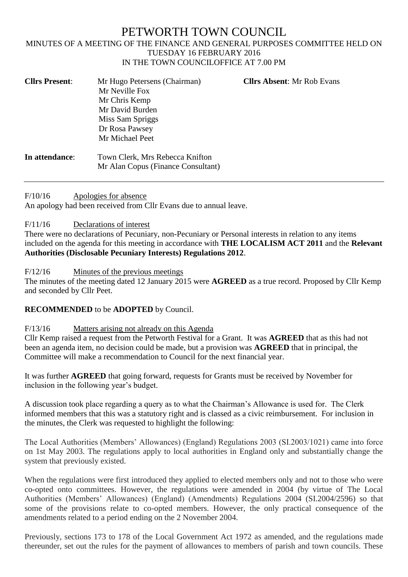# PETWORTH TOWN COUNCIL MINUTES OF A MEETING OF THE FINANCE AND GENERAL PURPOSES COMMITTEE HELD ON TUESDAY 16 FEBRUARY 2016 IN THE TOWN COUNCILOFFICE AT 7.00 PM

| <b>Cllrs Present:</b> | Mr Hugo Petersens (Chairman)       | <b>Cllrs Absent: Mr Rob Evans</b> |
|-----------------------|------------------------------------|-----------------------------------|
|                       | Mr Neville Fox                     |                                   |
|                       | Mr Chris Kemp                      |                                   |
|                       | Mr David Burden                    |                                   |
|                       | Miss Sam Spriggs                   |                                   |
|                       | Dr Rosa Pawsey                     |                                   |
|                       | Mr Michael Peet                    |                                   |
| In attendance:        | Town Clerk, Mrs Rebecca Knifton    |                                   |
|                       | Mr Alan Copus (Finance Consultant) |                                   |

F/10/16 Apologies for absence

An apology had been received from Cllr Evans due to annual leave.

## F/11/16 Declarations of interest

There were no declarations of Pecuniary, non-Pecuniary or Personal interests in relation to any items included on the agenda for this meeting in accordance with **THE LOCALISM ACT 2011** and the **Relevant Authorities (Disclosable Pecuniary Interests) Regulations 2012**.

## F/12/16 Minutes of the previous meetings

The minutes of the meeting dated 12 January 2015 were **AGREED** as a true record. Proposed by Cllr Kemp and seconded by Cllr Peet.

# **RECOMMENDED** to be **ADOPTED** by Council.

## F/13/16 Matters arising not already on this Agenda

Cllr Kemp raised a request from the Petworth Festival for a Grant. It was **AGREED** that as this had not been an agenda item, no decision could be made, but a provision was **AGREED** that in principal, the Committee will make a recommendation to Council for the next financial year.

It was further **AGREED** that going forward, requests for Grants must be received by November for inclusion in the following year's budget.

A discussion took place regarding a query as to what the Chairman's Allowance is used for. The Clerk informed members that this was a statutory right and is classed as a civic reimbursement. For inclusion in the minutes, the Clerk was requested to highlight the following:

The Local Authorities (Members' Allowances) (England) Regulations 2003 (SI.2003/1021) came into force on 1st May 2003. The regulations apply to local authorities in England only and substantially change the system that previously existed.

When the regulations were first introduced they applied to elected members only and not to those who were co-opted onto committees. However, the regulations were amended in 2004 (by virtue of The Local Authorities (Members' Allowances) (England) (Amendments) Regulations 2004 (SI.2004/2596) so that some of the provisions relate to co-opted members. However, the only practical consequence of the amendments related to a period ending on the 2 November 2004.

Previously, sections 173 to 178 of the Local Government Act 1972 as amended, and the regulations made thereunder, set out the rules for the payment of allowances to members of parish and town councils. These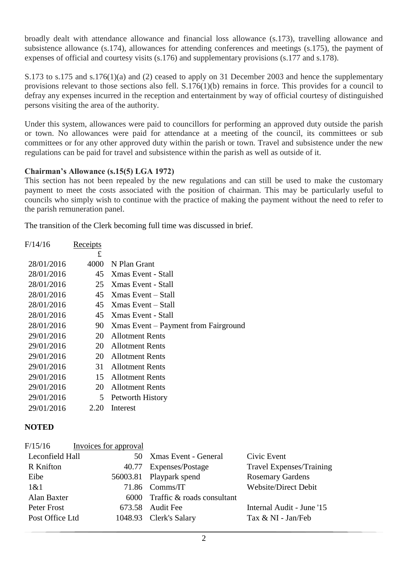broadly dealt with attendance allowance and financial loss allowance (s.173), travelling allowance and subsistence allowance (s.174), allowances for attending conferences and meetings (s.175), the payment of expenses of official and courtesy visits (s.176) and supplementary provisions (s.177 and s.178).

S.173 to s.175 and s.176(1)(a) and (2) ceased to apply on 31 December 2003 and hence the supplementary provisions relevant to those sections also fell. S.176(1)(b) remains in force. This provides for a council to defray any expenses incurred in the reception and entertainment by way of official courtesy of distinguished persons visiting the area of the authority.

Under this system, allowances were paid to councillors for performing an approved duty outside the parish or town. No allowances were paid for attendance at a meeting of the council, its committees or sub committees or for any other approved duty within the parish or town. Travel and subsistence under the new regulations can be paid for travel and subsistence within the parish as well as outside of it.

# **Chairman's Allowance (s.15(5) LGA 1972)**

This section has not been repealed by the new regulations and can still be used to make the customary payment to meet the costs associated with the position of chairman. This may be particularly useful to councils who simply wish to continue with the practice of making the payment without the need to refer to the parish remuneration panel.

The transition of the Clerk becoming full time was discussed in brief.

| F/14/16    | Receipts |                                      |
|------------|----------|--------------------------------------|
|            | £        |                                      |
| 28/01/2016 | 4000     | N Plan Grant                         |
| 28/01/2016 | 45       | Xmas Event - Stall                   |
| 28/01/2016 | 25       | Xmas Event - Stall                   |
| 28/01/2016 | 45       | Xmas Event – Stall                   |
| 28/01/2016 | 45       | Xmas Event – Stall                   |
| 28/01/2016 | 45       | Xmas Event - Stall                   |
| 28/01/2016 | 90       | Xmas Event – Payment from Fairground |
| 29/01/2016 | 20       | <b>Allotment Rents</b>               |
| 29/01/2016 | 20       | <b>Allotment Rents</b>               |
| 29/01/2016 | 20       | <b>Allotment Rents</b>               |
| 29/01/2016 | 31       | <b>Allotment Rents</b>               |
| 29/01/2016 | 15       | <b>Allotment Rents</b>               |
| 29/01/2016 | 20       | <b>Allotment Rents</b>               |
| 29/01/2016 | 5        | Petworth History                     |
| 29/01/2016 | 2.20     | Interest                             |
|            |          |                                      |

# **NOTED**

| F/15/16          | Invoices for approval |                                 |                             |
|------------------|-----------------------|---------------------------------|-----------------------------|
| Leconfield Hall  |                       | 50 Xmas Event - General         | Civic Event                 |
| <b>R</b> Knifton |                       | 40.77 Expenses/Postage          | Travel Expenses/Training    |
| Eibe             |                       | 56003.81 Playpark spend         | <b>Rosemary Gardens</b>     |
| 1&0              |                       | 71.86 Comms/IT                  | <b>Website/Direct Debit</b> |
| Alan Baxter      |                       | 6000 Traffic & roads consultant |                             |
| Peter Frost      |                       | 673.58 Audit Fee                | Internal Audit - June '15   |
| Post Office Ltd  |                       | 1048.93 Clerk's Salary          | Tax & NI - Jan/Feb          |
|                  |                       |                                 |                             |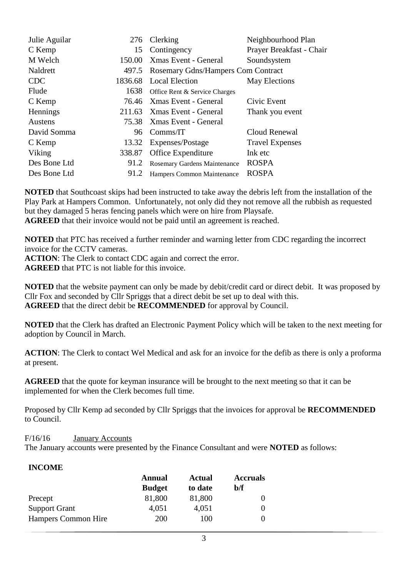| Julie Aguilar  |         | 276 Clerking                              | Neighbourhood Plan       |
|----------------|---------|-------------------------------------------|--------------------------|
| C Kemp         | 15      | Contingency                               | Prayer Breakfast - Chair |
| M Welch        | 150.00  | Xmas Event - General                      | Soundsystem              |
| Naldrett       | 497.5   | <b>Rosemary Gdns/Hampers Com Contract</b> |                          |
| <b>CDC</b>     | 1836.68 | <b>Local Election</b>                     | May Elections            |
| Flude          | 1638    | Office Rent & Service Charges             |                          |
| C Kemp         |         | 76.46 Xmas Event - General                | Civic Event              |
| Hennings       | 211.63  | Xmas Event - General                      | Thank you event          |
| <b>Austens</b> | 75.38   | Xmas Event - General                      |                          |
| David Somma    | 96      | Comms/IT                                  | Cloud Renewal            |
| C Kemp         | 13.32   | Expenses/Postage                          | <b>Travel Expenses</b>   |
| Viking         | 338.87  | Office Expenditure                        | Ink etc                  |
| Des Bone Ltd   | 91.2    | Rosemary Gardens Maintenance              | <b>ROSPA</b>             |
| Des Bone Ltd   | 91.2    | Hampers Common Maintenance                | <b>ROSPA</b>             |

**NOTED** that Southcoast skips had been instructed to take away the debris left from the installation of the Play Park at Hampers Common. Unfortunately, not only did they not remove all the rubbish as requested but they damaged 5 heras fencing panels which were on hire from Playsafe.

**AGREED** that their invoice would not be paid until an agreement is reached.

**NOTED** that PTC has received a further reminder and warning letter from CDC regarding the incorrect invoice for the CCTV cameras.

**ACTION**: The Clerk to contact CDC again and correct the error.

**AGREED** that PTC is not liable for this invoice.

**NOTED** that the website payment can only be made by debit/credit card or direct debit. It was proposed by Cllr Fox and seconded by Cllr Spriggs that a direct debit be set up to deal with this. **AGREED** that the direct debit be **RECOMMENDED** for approval by Council.

**NOTED** that the Clerk has drafted an Electronic Payment Policy which will be taken to the next meeting for adoption by Council in March.

**ACTION:** The Clerk to contact Wel Medical and ask for an invoice for the defib as there is only a proforma at present.

**AGREED** that the quote for keyman insurance will be brought to the next meeting so that it can be implemented for when the Clerk becomes full time.

Proposed by Cllr Kemp ad seconded by Cllr Spriggs that the invoices for approval be **RECOMMENDED** to Council.

F/16/16 January Accounts

The January accounts were presented by the Finance Consultant and were **NOTED** as follows:

## **INCOME**

|                            | Annual        | <b>Actual</b> | <b>Accruals</b> |
|----------------------------|---------------|---------------|-----------------|
|                            | <b>Budget</b> | to date       | b/f             |
| Precept                    | 81,800        | 81,800        |                 |
| <b>Support Grant</b>       | 4,051         | 4,051         |                 |
| <b>Hampers Common Hire</b> | 200           | 100           |                 |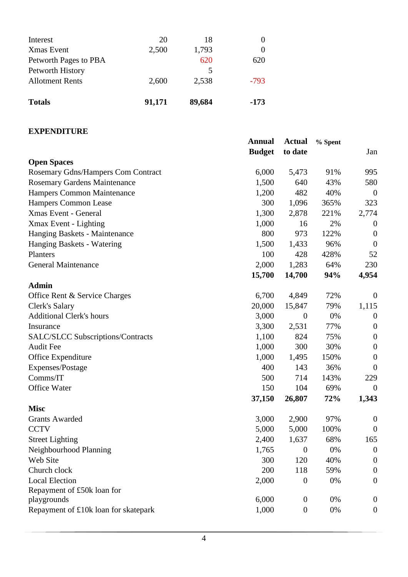| <b>Totals</b>                              | 91,171 | 89,684     | $-173$ |
|--------------------------------------------|--------|------------|--------|
| Petworth History<br><b>Allotment Rents</b> | 2,600  | 5<br>2,538 | $-793$ |
| Petworth Pages to PBA                      |        | 620        | 620    |
| <b>X</b> mas Event                         | 2,500  | 1,793      |        |
| Interest                                   | 20     | 18         |        |

# **EXPENDITURE**

|                                          | <b>Annual</b><br><b>Budget</b> | <b>Actual</b><br>to date | % Spent | Jan              |
|------------------------------------------|--------------------------------|--------------------------|---------|------------------|
| <b>Open Spaces</b>                       |                                |                          |         |                  |
| Rosemary Gdns/Hampers Com Contract       | 6,000                          | 5,473                    | 91%     | 995              |
| Rosemary Gardens Maintenance             | 1,500                          | 640                      | 43%     | 580              |
| Hampers Common Maintenance               | 1,200                          | 482                      | 40%     | $\boldsymbol{0}$ |
| <b>Hampers Common Lease</b>              | 300                            | 1,096                    | 365%    | 323              |
| Xmas Event - General                     | 1,300                          | 2,878                    | 221%    | 2,774            |
| Xmax Event - Lighting                    | 1,000                          | 16                       | 2%      | $\theta$         |
| Hanging Baskets - Maintenance            | 800                            | 973                      | 122%    | $\boldsymbol{0}$ |
| Hanging Baskets - Watering               | 1,500                          | 1,433                    | 96%     | $\boldsymbol{0}$ |
| Planters                                 | 100                            | 428                      | 428%    | 52               |
| General Maintenance                      | 2,000                          | 1,283                    | 64%     | 230              |
|                                          | 15,700                         | 14,700                   | 94%     | 4,954            |
| <b>Admin</b>                             |                                |                          |         |                  |
| Office Rent & Service Charges            | 6,700                          | 4,849                    | 72%     | $\boldsymbol{0}$ |
| Clerk's Salary                           | 20,000                         | 15,847                   | 79%     | 1,115            |
| <b>Additional Clerk's hours</b>          | 3,000                          | $\boldsymbol{0}$         | 0%      | $\boldsymbol{0}$ |
| Insurance                                | 3,300                          | 2,531                    | 77%     | $\boldsymbol{0}$ |
| <b>SALC/SLCC Subscriptions/Contracts</b> | 1,100                          | 824                      | 75%     | $\boldsymbol{0}$ |
| <b>Audit Fee</b>                         | 1,000                          | 300                      | 30%     | $\boldsymbol{0}$ |
| Office Expenditure                       | 1,000                          | 1,495                    | 150%    | $\boldsymbol{0}$ |
| Expenses/Postage                         | 400                            | 143                      | 36%     | $\boldsymbol{0}$ |
| Comms/IT                                 | 500                            | 714                      | 143%    | 229              |
| Office Water                             | 150                            | 104                      | 69%     | $\overline{0}$   |
|                                          | 37,150                         | 26,807                   | 72%     | 1,343            |
| <b>Misc</b>                              |                                |                          |         |                  |
| <b>Grants Awarded</b>                    | 3,000                          | 2,900                    | 97%     | $\boldsymbol{0}$ |
| <b>CCTV</b>                              | 5,000                          | 5,000                    | 100%    | $\boldsymbol{0}$ |
| <b>Street Lighting</b>                   | 2,400                          | 1,637                    | 68%     | 165              |
| Neighbourhood Planning                   | 1,765                          | $\boldsymbol{0}$         | 0%      | $\boldsymbol{0}$ |
| Web Site                                 | 300                            | 120                      | 40%     | $\boldsymbol{0}$ |
| Church clock                             | 200                            | 118                      | 59%     | $\boldsymbol{0}$ |
| <b>Local Election</b>                    | 2,000                          | $\boldsymbol{0}$         | 0%      | $\overline{0}$   |
| Repayment of £50k loan for               |                                |                          |         |                  |
| playgrounds                              | 6,000                          | $\mathbf{0}$             | 0%      | $\overline{0}$   |
| Repayment of £10k loan for skatepark     | 1,000                          | $\boldsymbol{0}$         | 0%      | $\boldsymbol{0}$ |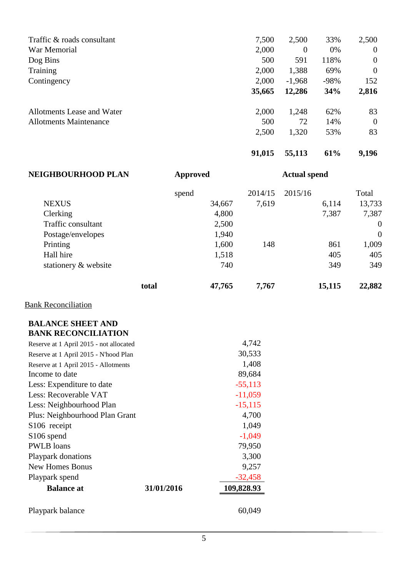| Traffic & roads consultant    | 7,500  | 2,500    | 33%    | 2,500        |
|-------------------------------|--------|----------|--------|--------------|
| War Memorial                  | 2,000  | $\theta$ | 0%     | $\mathbf{0}$ |
| Dog Bins                      | 500    | 591      | 118%   | $\mathbf{0}$ |
| Training                      | 2,000  | 1,388    | 69%    | $\mathbf{0}$ |
| Contingency                   | 2,000  | $-1,968$ | $-98%$ | 152          |
|                               | 35,665 | 12,286   | 34%    | 2,816        |
| Allotments Lease and Water    | 2,000  | 1,248    | 62%    | 83           |
| <b>Allotments Maintenance</b> | 500    | 72       | 14%    | $\mathbf{0}$ |
|                               | 2,500  | 1,320    | 53%    | 83           |
|                               |        |          |        |              |

| 91,015 | 55,113 | 61% | 9,196 |
|--------|--------|-----|-------|
|        |        |     |       |

| <b>NEIGHBOURHOOD PLAN</b>               | <b>Approved</b> | <b>Actual spend</b> |         |                |
|-----------------------------------------|-----------------|---------------------|---------|----------------|
|                                         | spend           | 2014/15             | 2015/16 | Total          |
| <b>NEXUS</b>                            | 34,667          | 7,619               | 6,114   | 13,733         |
| Clerking                                | 4,800           |                     | 7,387   | 7,387          |
| Traffic consultant                      | 2,500           |                     |         | $\theta$       |
| Postage/envelopes                       | 1,940           |                     |         | $\overline{0}$ |
| Printing                                | 1,600           | 148                 | 861     | 1,009          |
| Hall hire                               | 1,518           |                     | 405     | 405            |
| stationery & website                    | 740             |                     | 349     | 349            |
|                                         | 47,765<br>total | 7,767               | 15,115  | 22,882         |
| <b>Bank Reconciliation</b>              |                 |                     |         |                |
| <b>BALANCE SHEET AND</b>                |                 |                     |         |                |
| <b>BANK RECONCILIATION</b>              |                 |                     |         |                |
| Reserve at 1 April 2015 - not allocated |                 | 4,742               |         |                |
| Reserve at 1 April 2015 - N'hood Plan   |                 | 30,533              |         |                |
| Reserve at 1 April 2015 - Allotments    |                 | 1,408               |         |                |
| Income to date                          |                 | 89,684              |         |                |
| Less: Expenditure to date               |                 | $-55113$            |         |                |

## **BALANCE SHEET AND BANK RECONCILIATION**

|            | 4.142      |
|------------|------------|
|            | 30,533     |
|            | 1,408      |
|            | 89,684     |
|            | $-55,113$  |
|            | $-11,059$  |
|            | $-15, 115$ |
|            | 4,700      |
|            | 1,049      |
|            | $-1,049$   |
|            | 79,950     |
|            | 3,300      |
|            | 9,257      |
|            | $-32,458$  |
| 31/01/2016 | 109,828.93 |
|            |            |
|            | 60,049     |
|            |            |